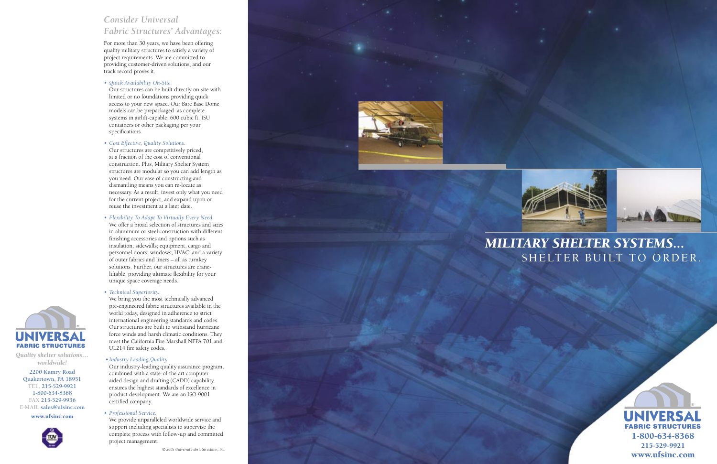

### *Consider Universal Fabric Structures' Advantages:*

For more than 30 years, we have been offering quality military structures to satisfy a variety of project requirements. We are committed to providing customer-driven solutions, and our track record proves it.

*• Quick Availability On-Site.*

Our structures can be built directly on site with limited or no foundations providing quick access to your new space. Our Bare Base Dome models can be prepackaged as complete systems in airlift-capable, 600 cubic ft. ISU containers or other packaging per your specifications.

*• Cost Effective, Quality Solutions.*

Our structures are competitively priced, at a fraction of the cost of conventional construction. Plus, Military Shelter System structures are modular so you can add length as you need. Our ease of constructing and dismantling means you can re-locate as necessary. As a result, invest only what you need for the current project, and expand upon or reuse the investment at a later date.

*• Flexibility To Adapt To Virtually Every Need.*

We offer a broad selection of structures and sizes in aluminum or steel construction with different finishing accessories and options such as insulation; sidewalls; equipment, cargo and personnel doors; windows; HVAC; and a variety of outer fabrics and liners – all as turnkey solutions. Further, our structures are crane liftable, providing ultimate flexibility for your unique space coverage needs.

#### *• Technical Superiority.*

We bring you the most technically advanced pre-engineered fabric structures available in the world today, designed in adherence to strict international engineering standards and codes. Our structures are built to withstand hurricane force winds and harsh climatic conditions. They meet the California Fire Marshall NFPA 701 and UL214 fire safety codes.

#### *• Industry Leading Quality.*

Our industry-leading quality assurance program, combined with a state-of-the art computer aided design and drafting (CADD) capability, ensures the highest standards of excellence in product development. We are an ISO 9001 certified company.

#### *• Professional Service.*

We provide unparalleled worldwide service and support including specialists to supervise the complete process with follow-up and committed project management.





*Quality shelter solutions… worldwide!*

**2200 Kumry Road Quakertown, PA 18951 TEL. 215-529-9921 1-800-634-8368 FAX 215-529-9936 E-MAIL sales@ufsinc.com**

www.ufsinc.com





## *MILITARY SHELTER SYSTEMS...* SHELTER BUILT TO ORDER.